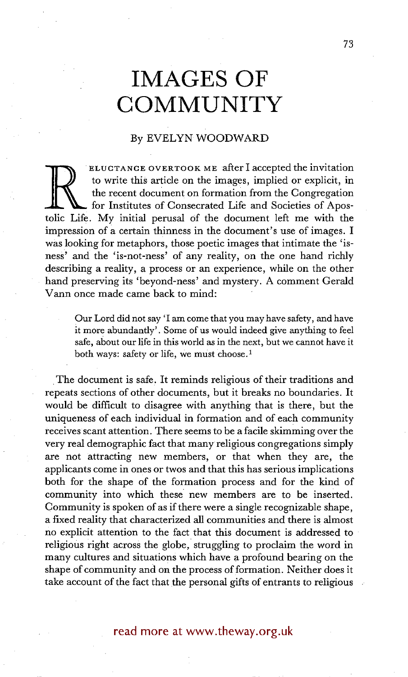# **IMAGES OF COMMUNITY**

## By EVELYN WOODWARD

to write this article on the images, implied or explicit, in<br>the recent document on formation from the Congregation<br>for Institutes of Consecrated Life and Societies of Apos-<br>tolic Life. My initial perusal of the document l ELUCTANCE OVERTOOK ME after I accepted the invitation to write this article on the images, implied or explicit, in the recent document on formation from the Congregation for Institutes of Consecrated Life and Societies of Aposimpression of a certain thinness in the document's use of images. I was looking for metaphors, those poetic images that intimate the 'isness' and the 'is-not-ness' of any reality, on the one hand richly describing a reality, a process or an experience, while on the other hand preserving its 'beyond-ness' and mystery. A comment Gerald Vann once made came back to mind:

Our Lord did not say 'I am come that you may have safety, and have it more abundantly'. Some of us would indeed give anything to feel safe, about our life in this world as in the next, but we cannot have it both ways: safety or life, we must choose.<sup>1</sup>

The document is safe. It reminds religious of their traditions and repeats sections of other documents, but it breaks no boundaries. It would be difficult to disagree with anything that is there, but the uniqueness of each individual in formation and of each community receives scant attention. There seems to be a facile skimming over the very real demographic fact that many religious congregations simply are not attracting new members, or that when they are, the applicants come in ones or twos and that this has serious implications both for the shape of the formation process and for the kind of community into which these new members are to be inserted. Community is spoken of as if there were a single recognizable shape, a fixed reality that characterized all communities and there is almost no explicit attention to the fact that this document is addressed to religious right across the globe, struggling to proclaim the word in many cultures and situations which have a profound bearing on the shape of community and on the process of formation. Neither does it take account of the fact that the personal gifts of entrants to religious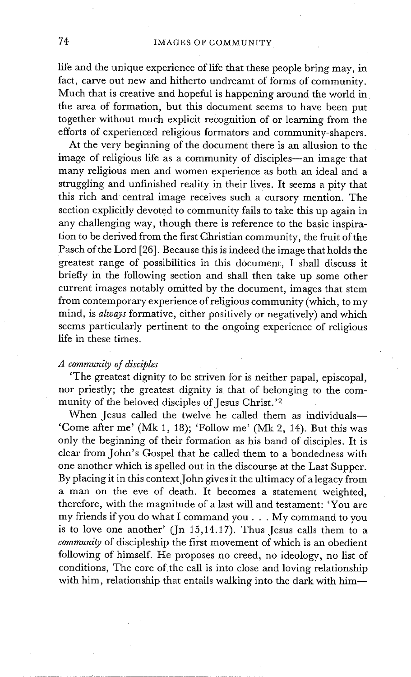life and the unique experience of life that these people bring may, in fact, carve out new and hitherto undreamt of forms of community. Much that is creative and hopeful is happening around the world in the area of formation, but this document seems to have been put together without much explicit recognition of or learning from the efforts of experienced religious formators and community-shapers.

At the very beginning of the document there is an allusion to the image of religious life as a community of disciples--an image that many religious men and women experience as both an ideal and a struggling and unfinished reality in their lives. It seems a pity that this rich and central image receives such a cursory mention. The section explicitly devoted to community fails to take this up again in any challenging way, though there is reference to the basic inspiration to be derived from the first Christian community, the fruit of the Pasch of the Lord [26]. Because this is indeed the image that holds the greatest range of possibilities in this document, I shall discuss it briefly in the following section and shall then take up some other current images notably omitted by the document, images that stem from contemporary experience of religious community (which, to my mind, is *always* formative, either positively or negatively) and which seems particularly pertinent to the ongoing experience of religious life in these times.

### *A community of disciples*

'The greatest dignity to be striven for is neither papal, episcopal, nor priestly; the greatest dignity is that of belonging to the community of the beloved disciples of Jesus Christ.'2

When Jesus called the twelve he called them as individuals-'Come after me' (Mk 1, 18); 'Follow me' (Mk 2, 14). But this was only the beginning of their formation as his band of disciples. It is clear from John's Gospel that he called them to a bondedness with one another which is spelled out in the discourse at the Last Supper. By placing it in this context John gives it the ultimacy of a legacy from a man on the eve of death. It becomes a statement weighted, therefore, with the magnitude of a last will and testament: 'You are my friends if you do what I command you... My command to you is to love one another' (Jn 15,14.17). Thus Jesus calls them to a *community* of discipleship the first movement of which is an obedient following of himself. He proposes no creed, no ideology, no list of conditions, The core of the call is into close and loving relationship with him, relationship that entails walking into the dark with him--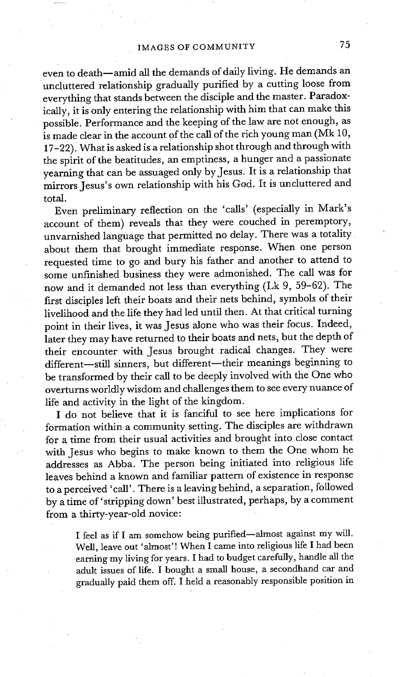even to death--amid all the demands of daily living. He demands an uncluttered relationship gradually purified by a cutting loose from everything that stands between the disciple and the master. Paradoxically, it is only entering the relationship with him that can make this possible. Performance and the keeping of the law are not enough, as is made clear in the account of the call of the rich young man (Mk 10, **17-22).** What is asked is a relationship shot through and through with the spirit of the beatitudes, an emptiness, a hunger and a passionate yearning that can be assuaged only by Jesus. It is a relationship that mirrors Jesus's own relationship with his God. It is uncluttered and total.

Even preliminary reflection on the 'calls' (especially in Mark's account of them) reveals that they were couched in peremptory, unvarnished language that permitted no delay. There was a totality about them that brought immediate response. When one person requested time to go and bury his father and another to attend to some unfinished business they were admonished. The call was for now and it demanded not less than everything (Lk 9, 59-62). The first disciples left their boats and their nets behind, symbols of their livelihood and the life they had led until then. At that critical turning point in their lives, it was Jesus alone who was their focus. Indeed, later they may have returned to their boats and nets, but the depth of their encounter with Jesus brought radical changes. They were different-still sinners, but different-their meanings beginning to be transformed by their call to be deeply involved with the One who overturns worldly wisdom and challenges them to see every nuance of life and activity in the light of the kingdom.

I do not believe that it is fanciful to see here implications for formation within a community setting. The disciples are withdrawn for a time from their usual activities and brought into close contact with Jesus who begins to make known to them the One whom he addresses as Abba. The person being initiated into religious life leaves behind a known and familiar pattern of existence in response to a perceived 'call'. There is a leaving behind, a separation, followed by a time of'stripping down' best illustrated, perhaps, by a comment from a thirty-year-old novice:

I feel as if I am somehow being purified-almost against my will. Well, leave out 'almost'! When I came into religious life I had been earning my living for years. I had to budget carefully, handle all the aduk issues of life. I bought a small house, a secondhand car and gradually paid them off. I held a reasonably responsible position in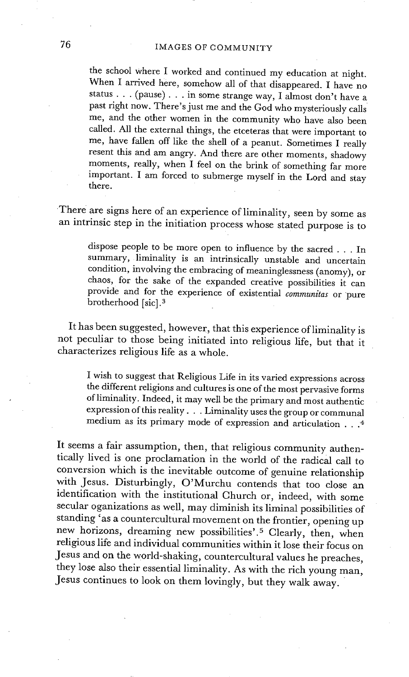the school where I worked and continued my education at night. When I arrived here, somehow all of that disappeared. I have no status . . . (pause) . . . in some strange way, I almost don't have a past right now. There's just me and the God who mysteriously calls me, and the other women in the community who have also been called. All the external things, the etceteras that were important to me, have fallen off like the shell of a peanut. Sometimes I really resent this and am angry. And there are other moments, shadowy moments, really, when I feel on the brink of something far more important. I am forced to submerge myself in the Lord and stay there.

There are signs here of an experience of liminality, seen by some as an intrinsic step in the initiation process whose stated purpose is to

dispose people to be more open to influence by the sacred . . . In summary, liminality is an intrinsically unstable and uncertain condition, involving the embracing of meaninglessness (anomy), or chaos, for the sake of the expanded creative possibilities it can provide and for the experience of existential *communitas* or pure brotherhood [sic].<sup>3</sup>

It has been suggested, however, that this experience of liminality is not peculiar to those being initiated into religious life, but that it characterizes religious life as a whole.

I wish to suggest that Religious Life in its varied expressions across the different religions and cultures is one of the most pervasive forms ofliminality. Indeed, it may well be the primary and most authentic expression of this reality... Liminality uses the group or communal medium as its primary mode of expression and articulation . . .4

It seems a fair assumption, then, that religious community authentically lived is one proclamation in the world of the radical call to conversion which is the inevitable outcome of genuine relationship with Jesus. Disturbingly, O'Murchu contends that too close an identification with the institutional Church or, indeed, with some secular oganizations as well, may diminish its liminal possibilities of standing 'as a countercultural movement on the frontier, opening up new horizons, dreaming new possibilities'.5 Clearly, then, when religious life and individual communities within it lose their focus on Jesus and on the world-shaking, countercultural values he preaches, they lose also their essential liminality. As with the rich young man, Jesus continues to look on them lovingly, but they walk away.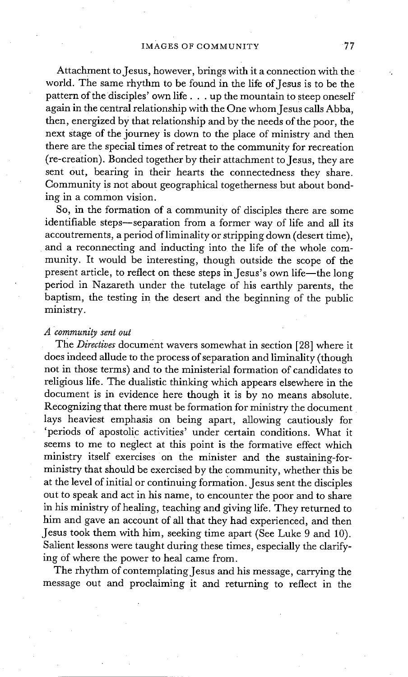Attachment to Jesus, however, brings with it a connection with the world. The same rhythm to be found in the life of Jesus is to be the pattern of the disciples' own life.., up the mountain to steep oneself again in the central relationship with the One whom Jesus calls Abba, then, energized by that relationship and by the needs of the poor, the next stage of the journey is down to the place of ministry and then there are the special times of retreat to the community for recreation (re-creation). Bonded together by their attachment to Jesus, they are sent out, bearing in their hearts the connectedness they share. Community is not about geographical togetherness but about bonding in a common vision.

So, in the formation of a community of disciples there are some identifiable steps--separation from a former way of life and all its accoutrements, a period ofliminality or stripping down (desert time), and a reconnecting and inducting into the life of the whole community. It would be interesting, though outside the scope of the present article, to reflect on these steps in Jesus's own life-the long period in Nazareth under the tutelage of his earthly parents, the baptism, the testing in the desert and the beginning of the public ministry.

#### *A community sent out*

The *Directives* document wavers somewhat in section [28] where it does indeed allude to the process of separation and liminality (though not in those terms) and to the ministerial formation of candidates to religious life. The dualistic thinking which appears elsewhere in the document is in evidence here though it is by no means absolute. Recognizing that there must be formation for ministry the document lays heaviest emphasis on being apart, allowing cautiously for 'periods of apostolic activities' under certain conditions. What it seems to me to neglect at this point is the formative effect which ministry itself exercises on the minister and the sustaining-forministry that should be exercised by the community, whether this be at the level of initial or continuing formation. Jesus sent the disciples out to speak and act in his name, to encounter the poor and to share in his ministry of healing, teaching and giving life. They returned to him and gave an account of all that they had experienced, and then Jesus took them with him, seeking time apart (See Luke 9 and 10). Salient lessons were taught during these times, especially the clarifying of where the power to heal came from.

The rhythm of contemplating Jesus and his message, carrying the message out and proclaiming it and returning to reflect in the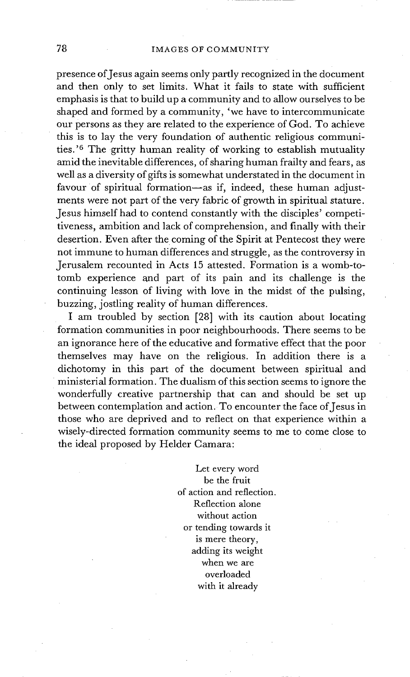presence of Jesus again seems only partly recognized in the document and then only to set limits. What it fails to state with sufficient emphasis is that to build up a community and to allow ourselves to be shaped and formed by a community, 'we have to intercommunicate our persons as they are related to the experience of God. To achieve this is to lay the very foundation of authentic religious communities. '6 The gritty human reality of working to establish mutuality amid the inevitable differences, of sharing human frailty and fears, as well as a diversity of gifts is somewhat understated in the document in favour of spiritual formation--as if, indeed, these human adjustments were not part of the very fabric of growth in spiritual stature. Jesus himself had to contend constantly with the disciples' competitiveness, ambition and lack of comprehension, and finally with their desertion. Even after the coming of the Spirit at Pentecost they were not immune to human differences and struggle, as the controversy in Jerusalem recounted in Acts 15 attested. Formation is a womb-totomb experience and part of its pain and its challenge is the continuing lesson of living with love in the midst of the pulsing, buzzing, jostling reality of human differences.

I am troubled by section [28] with its caution about locating formation communities in poor neighbourhoods. There seems to be an ignorance here of the educative and formative effect that the poor themselves may have on the religious. In addition there is a dichotomy in this part of the document between spiritual and • ministerial formation. The dualism of this section seems to ignore the wonderfully creative partnership that can and should be set up between contemplation and action. To encounter the face of Jesus in those who are deprived and to reflect on that experience within a wisely-directed formation community seems to me to come close to the ideal proposed by Helder Camara:

> Let every word be the fruit of action and reflection. Reflection alone without action or tending towards it is mere theory, adding its weight when we are overloaded with it already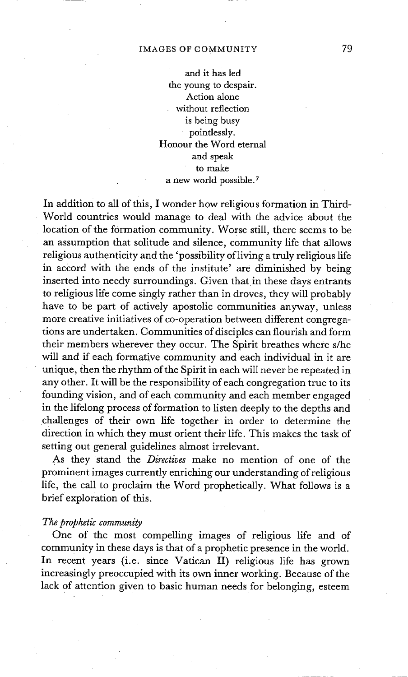#### IMAGES OF COMMUNITY 79

and it has led the young to despair. Action alone without reflection is being busy poindessly. Honour the Word eternal and speak to make a new world possible. 7

In addition to all of this, I wonder how religious formation in Third-World countries would manage to deal with the advice about the location of the formation community. Worse still, there seems to be an assumption that solitude and silence, community life that allows religious authenticity and the 'possibility of living a truly religious life in accord with the ends of the institute' are diminished by being inserted into needy surroundings. Given that in these days entrants to religious life come singly rather than in droves, they will probably have to be part of actively apostolic communities anyway, unless more creative initiatives of co-operation between different congregations are undertaken. Communities of disciples can flourish and form their members wherever they occur. The Spirit breathes where s/he will and if each formative community and each individual in it are unique, then the rhythm of the Spirit in each will never be repeated in any other. It will be the responsibility of each congregation true to its founding vision, and of each community and each member engaged in the lifelong process of formation to listen deeply to the depths and challenges of their own life together in order to determine the direction in which they must orient their life. This makes the task of setting out general guidelines almost irrelevant.

As they stand the *Directives* make no mention of one of the prominent images currently enriching our understanding of religious life, the call to proclaim the Word prophetically. What follows is a brief exploration of this.

#### *The prophetic community*

One of the most compelling images of religious life and of community in these days is that of a prophetic presence in the world. In recent years (i.e. since Vatican II) religious life has grown increasingly preoccupied with its own inner working. Because of the lack of attention given to basic human needs for belonging, esteem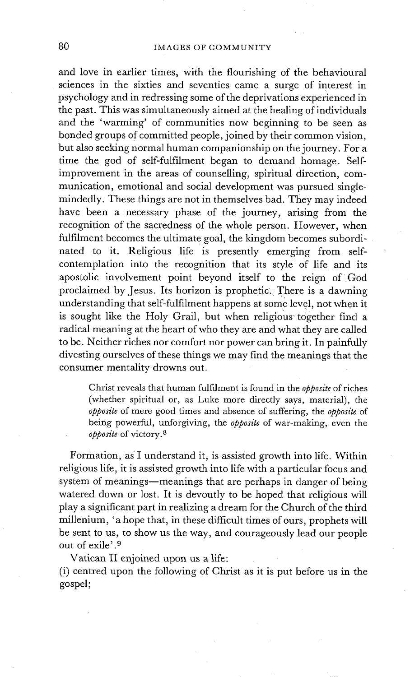and love in earlier times, With the flourishing of the behavioural sciences in the sixties and seventies came a surge of interest in psychology and in redressing some of the deprivations experienced in the past. This was simultaneously aimed at the healing of individuals and the 'warming' of communities now beginning to be seen as bonded groups of committed people, joined by their common vision, but also seeking normal human companionship on the journey. For a time the god of self-fulfilment began to demand homage. Selfimprovement in the areas of counselling, spiritual direction, communication, emotional and social development was pursued singlemindedly. These things are not in themselves bad. They may indeed have been a necessary phase of the journey, arising from the recognition of the sacredness of the whole person. However, when fulfilment becomes the ultimate goal, the kingdom becomes subordinated to it. Religious life is presently emerging from selfcontemplation into the recognition that its style of life and its apostolic involvement point beyond itself to the reign of God proclaimed by Jesus. Its horizon is prophetic. There is a dawning understanding that self-fulfilment happens at some level, not when it is sought like the Holy Grail, but when religious together find a radical meaning at the heart of who they are and what they are called to be. Neither riches nor comfort nor power can bring it. In painfully divesting ourselves of these things we may find the meanings that the consumer mentality drowns out.

Christ reveals that human fulfilment is found in the *opposite* of riches (whether spiritual or, as Luke more directly says, material), the *opposite* of mere good times and absence of suffering, the *opposite* of being powerful, unforgiving, the *opposite* of war-making, even the *opposite* of victory, a

Formation, as'I understand it, is assisted growth into life. Within religious life, it is assisted growth into life with a particular focus and system of meanings—meanings that are perhaps in danger of being watered down or lost. It is devoutly to be hoped that religious will play a significant part in realizing a dream for the Church of the third millenium, 'a hope that, in these difficult times of ours, prophets will be sent to us, to show us the way, and courageously lead our people out of exile'.<sup>9</sup>

Vatican II enjoined upon us a life:

(i) centred upon the following of Christ as it is put before us in the gospel;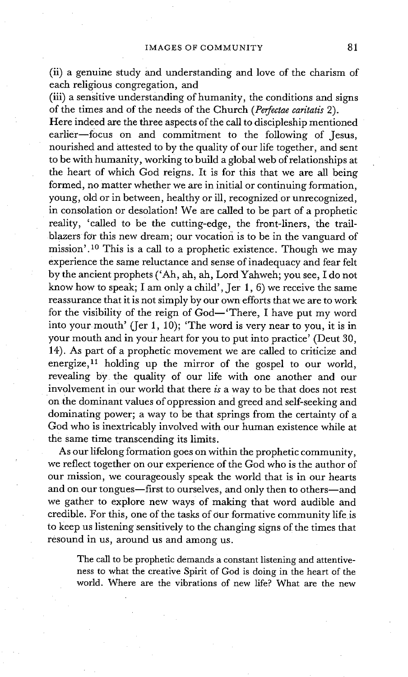(ii) a genuine study and understanding and love of the charism of each religious congregation, and

(iii) a sensitive understanding of humanity, the conditions and signs of the times and of the needs of the Church *(Pofectae caritatis* 2).

Here indeed are the three aspects of the call to discipleship mentioned earlier-focus on and commitment to the following of Jesus, nourished and attested to by the quality of our life together, and sent to be with humanity, working to build a global web of relationships at the heart of which God reigns. It is for this that we are all being formed, no matter whether we are in initial or continuing formation, young, old or in between, healthy or ill, recognized or unrecognized, in consolation or desolation! We are called to be part of a prophetic reality, 'called to be the cutting-edge, the front-liners, the trailblazers for this new dream; our vocation is to be in the vanguard of mission'.<sup>10</sup> This is a call to a prophetic existence. Though we may experience the same reluctance and sense of inadequacy and fear felt by the ancient prophets ('Ah, ah, ah, Lord Yahweh; you see, I do not know how to speak; I am only a child', Jer 1, 6) we receive the same reassurance that it is not simply by our own efforts that we are to work for the visibility of the reign of  $God-'There$ , I have put my word into your mouth' (Jer 1, 10); 'The word is very near to you, it is in your mouth and in your heart for you to put into practice' (Deut 30, 14). As part of a prophetic movement we are called to criticize and energize,  $11$  holding up the mirror of the gospel to our world, revealing by the quality of our life with one another and our involvement in our world that there *is* a way to be that does not rest on the dominant values of oppression and greed and self-seeking and dominating power; a way to be that springs from the certainty of a God who is inextricably involved with our human existence while at the same time transcending its limits.

As our lifelong formation goes on within the prophetic community, we reflect together on our experience of the God who is the author of our mission, we courageously speak the world that is in our hearts and on our tongues-first to ourselves, and only then to others-and we gather to explore new ways of making that word audible and credible. For this, one of the tasks of our formative community life is to keep us listening sensitively to the changing signs of the times that resound in us, around us and among us.

The call to be prophetic demands a constant listening and attentiveness to what the creative Spirit of God is doing in the heart of the world. Where are the vibrations of new life? What are the new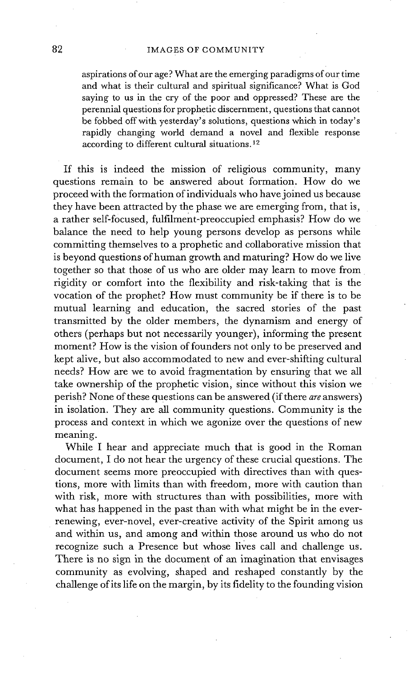aspirations of our age? What are the emerging paradigms of our time and what is their cultural and spiritual significance? What is God saying to us in the cry of the poor and oppressed? These are the perennial questions for prophetic discernment, questions that cannot be fobbed off with yesterday's solutions, questions which in today's rapidly changing world demand a novel and flexible response according to different cultural situations. 12

If this is indeed the mission of religious community, many questions remain to be answered about formation. How do we proceed with the formation of individuals who have joined us because they have been attracted by the phase we are emerging from, that is, a rather self-focused, fulfilment-preoccupied emphasis? How do we balance the need to help young persons develop as persons while committing themselves to a prophetic and collaborative mission that is beyond questions of human growth and maturing? How do we live together so that those of us who are older may learn to move from rigidity or comfort into the flexibility and risk-taking that is the vocation of the prophet? How must community be if there is to be mutual learning and education, the sacred stories of the past transmitted by the older members, the dynamism and energy of others (perhaps but not necessarily younger), informing the present moment? How is the vision of founders not only to be preserved and kept alive, but also accommodated to new and ever-shifting cultural needs? How are we to avoid fragmentation by ensuring that we all take ownership of the prophetic vision, since without this vision we perish? None of these questions can be answered (if there *are* answers) in isolation. They are all community questions. Community is the process and context in which we agonize over the questions of new meaning.

While I hear and appreciate much that is good in the Roman document, I do not hear the urgency of these crucial questions. The document seems more preoccupied with directives than with questions, more with limits than with freedom, more with caution than with risk, more with structures than with possibilities, more with what has happened in the past than with what might be in the everrenewing, ever-novel, ever-creative activity of the Spirit among us and within us, and among and within those around us who do not recognize such a Presence but whose lives call and challenge us. There is no sign in the document of an imagination that envisages community as evolving, shaped and reshaped constantly by the challenge of its life on the margin, by its fidelity to the founding vision